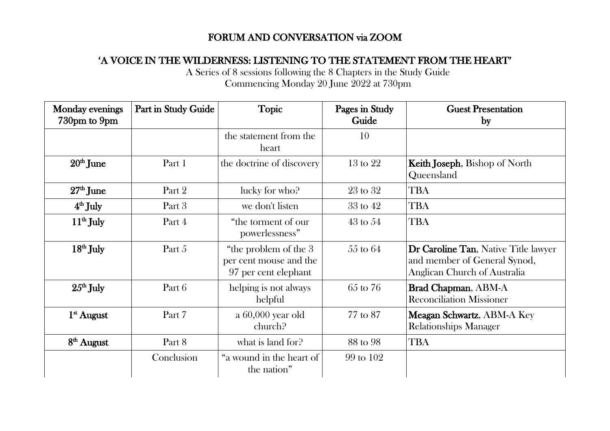## FORUM AND CONVERSATION via ZOOM

## 'A VOICE IN THE WILDERNESS: LISTENING TO THE STATEMENT FROM THE HEART'

A Series of 8 sessions following the 8 Chapters in the Study Guide Commencing Monday 20 June 2022 at 730pm

| <b>Monday evenings</b><br>730pm to 9pm | Part in Study Guide | <b>Topic</b>                                                            | Pages in Study<br>Guide | <b>Guest Presentation</b><br>by                                                                      |
|----------------------------------------|---------------------|-------------------------------------------------------------------------|-------------------------|------------------------------------------------------------------------------------------------------|
|                                        |                     | the statement from the<br>heart                                         | 10                      |                                                                                                      |
| $20th$ June                            | Part 1              | the doctrine of discovery                                               | $13 \text{ to } 22$     | <b>Keith Joseph</b> , Bishop of North<br>Queensland                                                  |
| $27th$ June                            | Part 2              | lucky for who?                                                          | $23$ to $32$            | <b>TBA</b>                                                                                           |
| $4th$ July                             | Part 3              | we don't listen                                                         | $33$ to $42$            | <b>TBA</b>                                                                                           |
| $11th$ July                            | Part 4              | "the torment of our<br>powerlessness"                                   | $43 \text{ to } 54$     | <b>TBA</b>                                                                                           |
| $18th$ July                            | Part 5              | "the problem of the 3<br>per cent mouse and the<br>97 per cent elephant | $55$ to $64$            | Dr Caroline Tan, Native Title lawyer<br>and member of General Synod,<br>Anglican Church of Australia |
| $25th$ July                            | Part 6              | helping is not always<br>helpful                                        | 65 to 76                | Brad Chapman, ABM-A<br><b>Reconciliation Missioner</b>                                               |
| $1st$ August                           | Part 7              | a 60,000 year old<br>church?                                            | 77 to 87                | Meagan Schwartz, ABM-A Key<br><b>Relationships Manager</b>                                           |
| $8th$ August                           | Part 8              | what is land for?                                                       | 88 to 98                | <b>TBA</b>                                                                                           |
|                                        | Conclusion          | "a wound in the heart of<br>the nation"                                 | 99 to 102               |                                                                                                      |